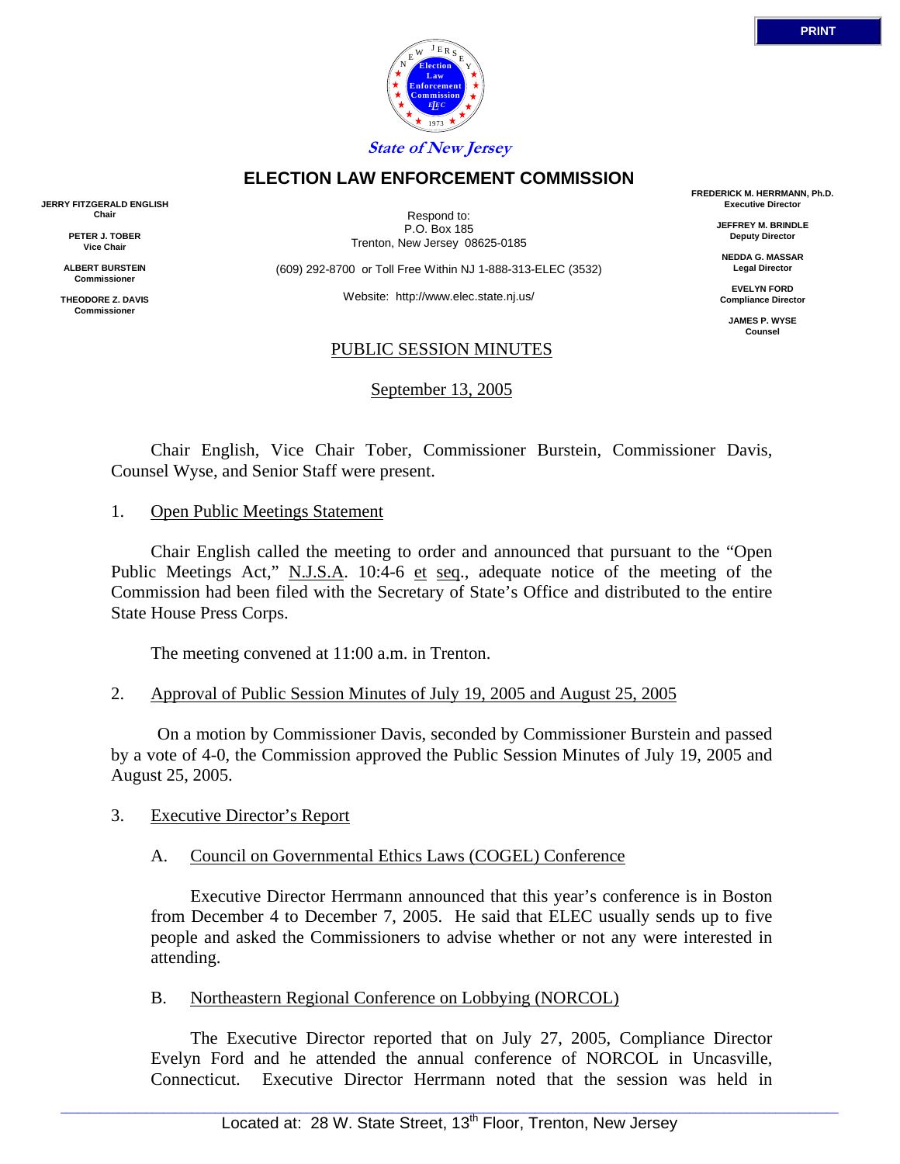

# **ELECTION LAW ENFORCEMENT COMMISSION**

**JERRY FITZGERALD ENGLISH Chair**

> **PETER J. TOBER Vice Chair**

**ALBERT BURSTEIN Commissioner**

**THEODORE Z. DAVIS Commissione** 

Respond to: P.O. Box 185 Trenton, New Jersey 08625-0185

(609) 292-8700 or Toll Free Within NJ 1-888-313-ELEC (3532)

Website: http://www.elec.state.nj.us/

#### PUBLIC SESSION MINUTES

September 13, 2005

**FREDERICK M. HERRMANN, Ph.D. Executive Director**

> **JEFFREY M. BRINDLE Deputy Director**

**NEDDA G. MASSAR Legal Director**

**EVELYN FORD Compliance Director**

**JAMES P. WYSE Counsel**

 Chair English, Vice Chair Tober, Commissioner Burstein, Commissioner Davis, Counsel Wyse, and Senior Staff were present.

1. Open Public Meetings Statement

 Chair English called the meeting to order and announced that pursuant to the "Open Public Meetings Act," N.J.S.A. 10:4-6 et seq., adequate notice of the meeting of the Commission had been filed with the Secretary of State's Office and distributed to the entire State House Press Corps.

The meeting convened at 11:00 a.m. in Trenton.

#### 2. Approval of Public Session Minutes of July 19, 2005 and August 25, 2005

 On a motion by Commissioner Davis, seconded by Commissioner Burstein and passed by a vote of 4-0, the Commission approved the Public Session Minutes of July 19, 2005 and August 25, 2005.

#### 3. Executive Director's Report

#### A. Council on Governmental Ethics Laws (COGEL) Conference

 Executive Director Herrmann announced that this year's conference is in Boston from December 4 to December 7, 2005. He said that ELEC usually sends up to five people and asked the Commissioners to advise whether or not any were interested in attending.

B. Northeastern Regional Conference on Lobbying (NORCOL)

 The Executive Director reported that on July 27, 2005, Compliance Director Evelyn Ford and he attended the annual conference of NORCOL in Uncasville, Connecticut. Executive Director Herrmann noted that the session was held in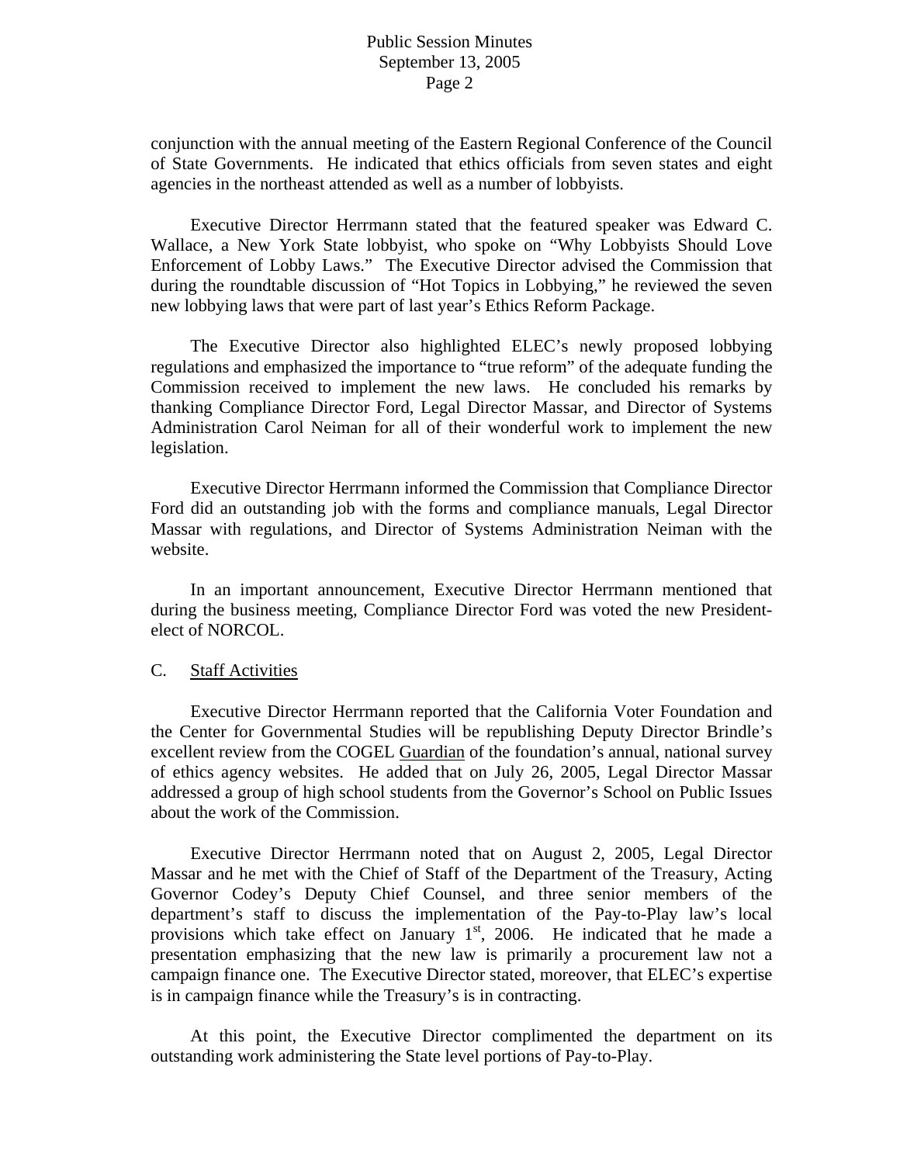conjunction with the annual meeting of the Eastern Regional Conference of the Council of State Governments. He indicated that ethics officials from seven states and eight agencies in the northeast attended as well as a number of lobbyists.

 Executive Director Herrmann stated that the featured speaker was Edward C. Wallace, a New York State lobbyist, who spoke on "Why Lobbyists Should Love Enforcement of Lobby Laws." The Executive Director advised the Commission that during the roundtable discussion of "Hot Topics in Lobbying," he reviewed the seven new lobbying laws that were part of last year's Ethics Reform Package.

 The Executive Director also highlighted ELEC's newly proposed lobbying regulations and emphasized the importance to "true reform" of the adequate funding the Commission received to implement the new laws. He concluded his remarks by thanking Compliance Director Ford, Legal Director Massar, and Director of Systems Administration Carol Neiman for all of their wonderful work to implement the new legislation.

 Executive Director Herrmann informed the Commission that Compliance Director Ford did an outstanding job with the forms and compliance manuals, Legal Director Massar with regulations, and Director of Systems Administration Neiman with the website.

 In an important announcement, Executive Director Herrmann mentioned that during the business meeting, Compliance Director Ford was voted the new Presidentelect of NORCOL.

#### C. Staff Activities

 Executive Director Herrmann reported that the California Voter Foundation and the Center for Governmental Studies will be republishing Deputy Director Brindle's excellent review from the COGEL Guardian of the foundation's annual, national survey of ethics agency websites. He added that on July 26, 2005, Legal Director Massar addressed a group of high school students from the Governor's School on Public Issues about the work of the Commission.

 Executive Director Herrmann noted that on August 2, 2005, Legal Director Massar and he met with the Chief of Staff of the Department of the Treasury, Acting Governor Codey's Deputy Chief Counsel, and three senior members of the department's staff to discuss the implementation of the Pay-to-Play law's local provisions which take effect on January  $1<sup>st</sup>$ , 2006. He indicated that he made a presentation emphasizing that the new law is primarily a procurement law not a campaign finance one. The Executive Director stated, moreover, that ELEC's expertise is in campaign finance while the Treasury's is in contracting.

 At this point, the Executive Director complimented the department on its outstanding work administering the State level portions of Pay-to-Play.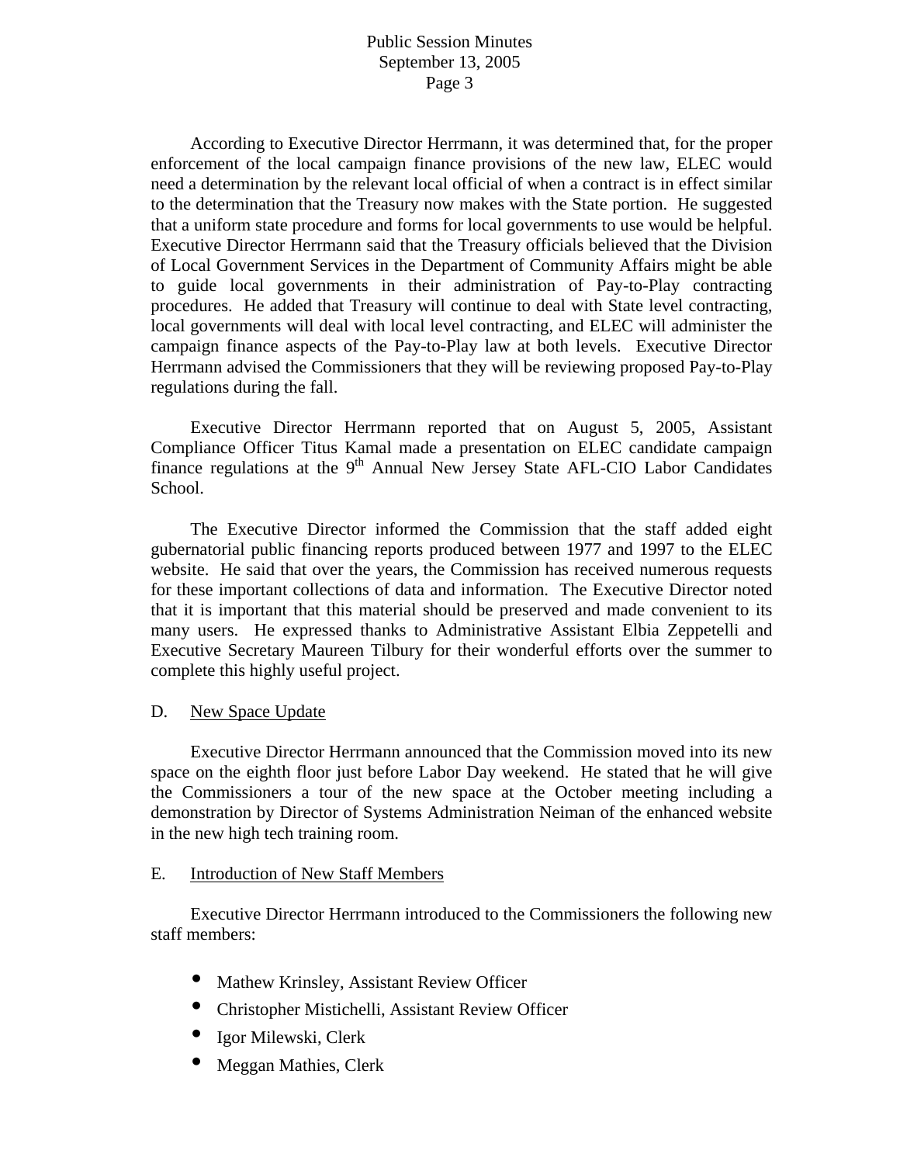According to Executive Director Herrmann, it was determined that, for the proper enforcement of the local campaign finance provisions of the new law, ELEC would need a determination by the relevant local official of when a contract is in effect similar to the determination that the Treasury now makes with the State portion. He suggested that a uniform state procedure and forms for local governments to use would be helpful. Executive Director Herrmann said that the Treasury officials believed that the Division of Local Government Services in the Department of Community Affairs might be able to guide local governments in their administration of Pay-to-Play contracting procedures. He added that Treasury will continue to deal with State level contracting, local governments will deal with local level contracting, and ELEC will administer the campaign finance aspects of the Pay-to-Play law at both levels. Executive Director Herrmann advised the Commissioners that they will be reviewing proposed Pay-to-Play regulations during the fall.

 Executive Director Herrmann reported that on August 5, 2005, Assistant Compliance Officer Titus Kamal made a presentation on ELEC candidate campaign finance regulations at the  $9<sup>th</sup>$  Annual New Jersey State AFL-CIO Labor Candidates School.

 The Executive Director informed the Commission that the staff added eight gubernatorial public financing reports produced between 1977 and 1997 to the ELEC website. He said that over the years, the Commission has received numerous requests for these important collections of data and information. The Executive Director noted that it is important that this material should be preserved and made convenient to its many users. He expressed thanks to Administrative Assistant Elbia Zeppetelli and Executive Secretary Maureen Tilbury for their wonderful efforts over the summer to complete this highly useful project.

#### D. New Space Update

 Executive Director Herrmann announced that the Commission moved into its new space on the eighth floor just before Labor Day weekend. He stated that he will give the Commissioners a tour of the new space at the October meeting including a demonstration by Director of Systems Administration Neiman of the enhanced website in the new high tech training room.

#### E. Introduction of New Staff Members

 Executive Director Herrmann introduced to the Commissioners the following new staff members:

- Mathew Krinsley, Assistant Review Officer
- Christopher Mistichelli, Assistant Review Officer
- Igor Milewski, Clerk
- Meggan Mathies, Clerk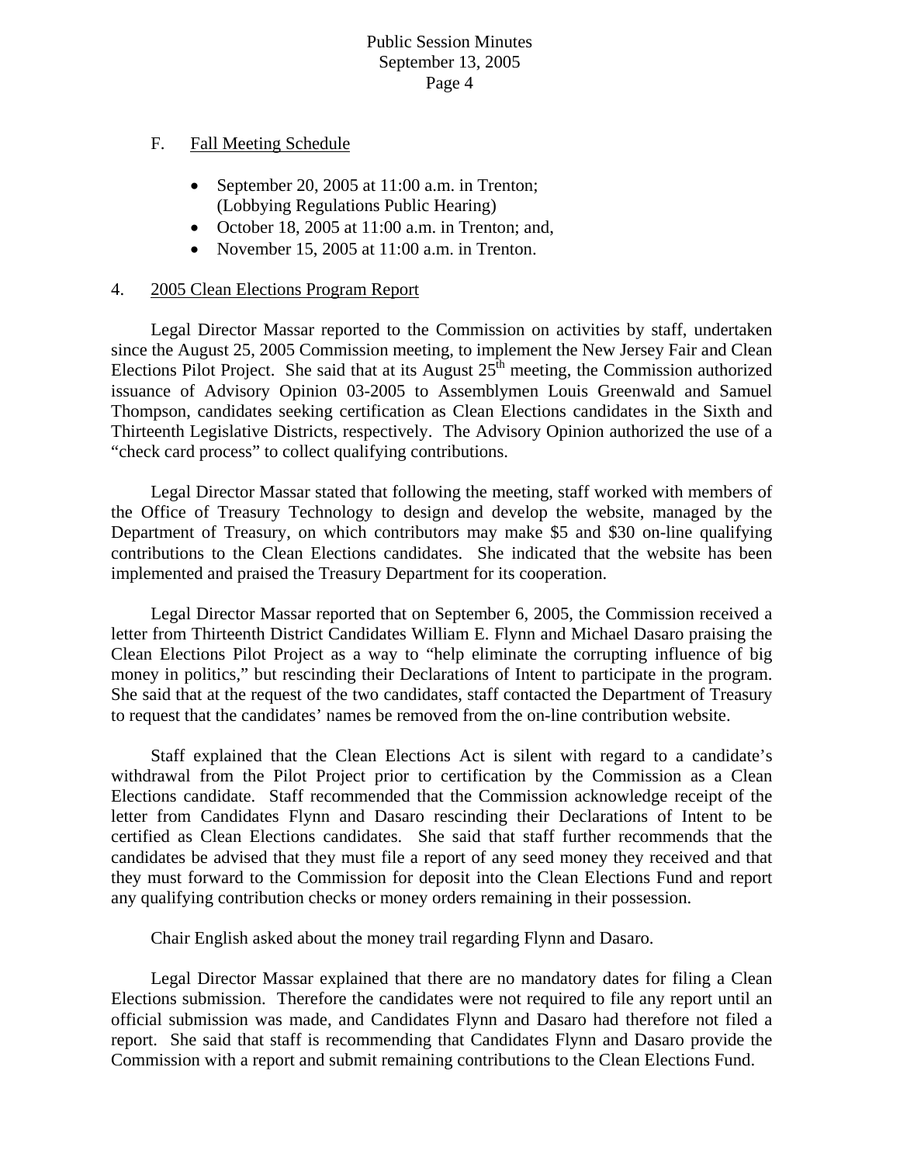# F. Fall Meeting Schedule

- September 20, 2005 at 11:00 a.m. in Trenton; (Lobbying Regulations Public Hearing)
- October 18, 2005 at 11:00 a.m. in Trenton; and,
- November 15, 2005 at 11:00 a.m. in Trenton.

# 4. 2005 Clean Elections Program Report

 Legal Director Massar reported to the Commission on activities by staff, undertaken since the August 25, 2005 Commission meeting, to implement the New Jersey Fair and Clean Elections Pilot Project. She said that at its August  $25<sup>th</sup>$  meeting, the Commission authorized issuance of Advisory Opinion 03-2005 to Assemblymen Louis Greenwald and Samuel Thompson, candidates seeking certification as Clean Elections candidates in the Sixth and Thirteenth Legislative Districts, respectively. The Advisory Opinion authorized the use of a "check card process" to collect qualifying contributions.

 Legal Director Massar stated that following the meeting, staff worked with members of the Office of Treasury Technology to design and develop the website, managed by the Department of Treasury, on which contributors may make \$5 and \$30 on-line qualifying contributions to the Clean Elections candidates. She indicated that the website has been implemented and praised the Treasury Department for its cooperation.

 Legal Director Massar reported that on September 6, 2005, the Commission received a letter from Thirteenth District Candidates William E. Flynn and Michael Dasaro praising the Clean Elections Pilot Project as a way to "help eliminate the corrupting influence of big money in politics," but rescinding their Declarations of Intent to participate in the program. She said that at the request of the two candidates, staff contacted the Department of Treasury to request that the candidates' names be removed from the on-line contribution website.

 Staff explained that the Clean Elections Act is silent with regard to a candidate's withdrawal from the Pilot Project prior to certification by the Commission as a Clean Elections candidate. Staff recommended that the Commission acknowledge receipt of the letter from Candidates Flynn and Dasaro rescinding their Declarations of Intent to be certified as Clean Elections candidates. She said that staff further recommends that the candidates be advised that they must file a report of any seed money they received and that they must forward to the Commission for deposit into the Clean Elections Fund and report any qualifying contribution checks or money orders remaining in their possession.

Chair English asked about the money trail regarding Flynn and Dasaro.

 Legal Director Massar explained that there are no mandatory dates for filing a Clean Elections submission. Therefore the candidates were not required to file any report until an official submission was made, and Candidates Flynn and Dasaro had therefore not filed a report. She said that staff is recommending that Candidates Flynn and Dasaro provide the Commission with a report and submit remaining contributions to the Clean Elections Fund.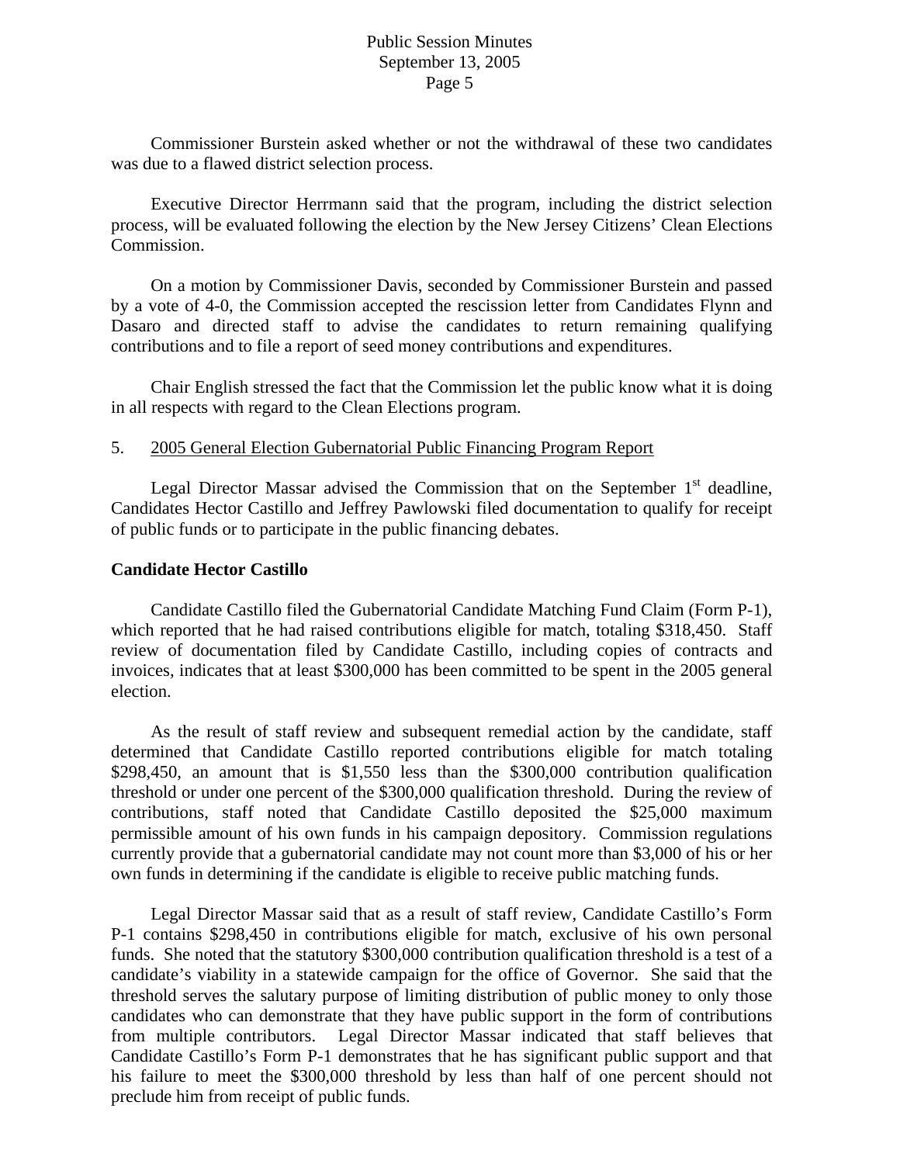Commissioner Burstein asked whether or not the withdrawal of these two candidates was due to a flawed district selection process.

 Executive Director Herrmann said that the program, including the district selection process, will be evaluated following the election by the New Jersey Citizens' Clean Elections Commission.

 On a motion by Commissioner Davis, seconded by Commissioner Burstein and passed by a vote of 4-0, the Commission accepted the rescission letter from Candidates Flynn and Dasaro and directed staff to advise the candidates to return remaining qualifying contributions and to file a report of seed money contributions and expenditures.

 Chair English stressed the fact that the Commission let the public know what it is doing in all respects with regard to the Clean Elections program.

#### 5. 2005 General Election Gubernatorial Public Financing Program Report

Legal Director Massar advised the Commission that on the September  $1<sup>st</sup>$  deadline, Candidates Hector Castillo and Jeffrey Pawlowski filed documentation to qualify for receipt of public funds or to participate in the public financing debates.

# **Candidate Hector Castillo**

 Candidate Castillo filed the Gubernatorial Candidate Matching Fund Claim (Form P-1), which reported that he had raised contributions eligible for match, totaling \$318,450. Staff review of documentation filed by Candidate Castillo, including copies of contracts and invoices, indicates that at least \$300,000 has been committed to be spent in the 2005 general election.

 As the result of staff review and subsequent remedial action by the candidate, staff determined that Candidate Castillo reported contributions eligible for match totaling \$298,450, an amount that is \$1,550 less than the \$300,000 contribution qualification threshold or under one percent of the \$300,000 qualification threshold. During the review of contributions, staff noted that Candidate Castillo deposited the \$25,000 maximum permissible amount of his own funds in his campaign depository. Commission regulations currently provide that a gubernatorial candidate may not count more than \$3,000 of his or her own funds in determining if the candidate is eligible to receive public matching funds.

 Legal Director Massar said that as a result of staff review, Candidate Castillo's Form P-1 contains \$298,450 in contributions eligible for match, exclusive of his own personal funds. She noted that the statutory \$300,000 contribution qualification threshold is a test of a candidate's viability in a statewide campaign for the office of Governor. She said that the threshold serves the salutary purpose of limiting distribution of public money to only those candidates who can demonstrate that they have public support in the form of contributions from multiple contributors. Legal Director Massar indicated that staff believes that Candidate Castillo's Form P-1 demonstrates that he has significant public support and that his failure to meet the \$300,000 threshold by less than half of one percent should not preclude him from receipt of public funds.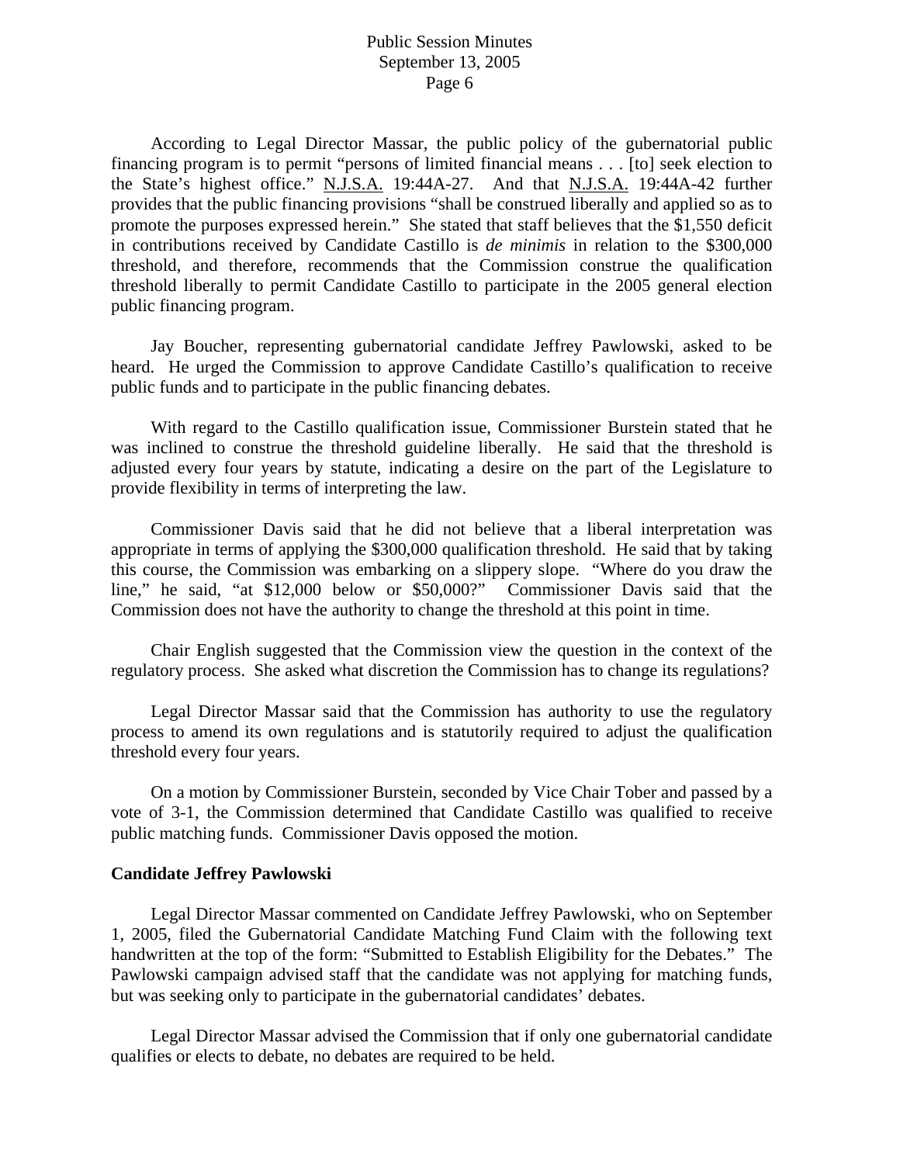According to Legal Director Massar, the public policy of the gubernatorial public financing program is to permit "persons of limited financial means . . . [to] seek election to the State's highest office." N.J.S.A. 19:44A-27. And that N.J.S.A. 19:44A-42 further provides that the public financing provisions "shall be construed liberally and applied so as to promote the purposes expressed herein." She stated that staff believes that the \$1,550 deficit in contributions received by Candidate Castillo is *de minimis* in relation to the \$300,000 threshold, and therefore, recommends that the Commission construe the qualification threshold liberally to permit Candidate Castillo to participate in the 2005 general election public financing program.

 Jay Boucher, representing gubernatorial candidate Jeffrey Pawlowski, asked to be heard. He urged the Commission to approve Candidate Castillo's qualification to receive public funds and to participate in the public financing debates.

 With regard to the Castillo qualification issue, Commissioner Burstein stated that he was inclined to construe the threshold guideline liberally. He said that the threshold is adjusted every four years by statute, indicating a desire on the part of the Legislature to provide flexibility in terms of interpreting the law.

 Commissioner Davis said that he did not believe that a liberal interpretation was appropriate in terms of applying the \$300,000 qualification threshold. He said that by taking this course, the Commission was embarking on a slippery slope. "Where do you draw the line," he said, "at \$12,000 below or \$50,000?" Commissioner Davis said that the Commission does not have the authority to change the threshold at this point in time.

 Chair English suggested that the Commission view the question in the context of the regulatory process. She asked what discretion the Commission has to change its regulations?

 Legal Director Massar said that the Commission has authority to use the regulatory process to amend its own regulations and is statutorily required to adjust the qualification threshold every four years.

 On a motion by Commissioner Burstein, seconded by Vice Chair Tober and passed by a vote of 3-1, the Commission determined that Candidate Castillo was qualified to receive public matching funds. Commissioner Davis opposed the motion.

#### **Candidate Jeffrey Pawlowski**

 Legal Director Massar commented on Candidate Jeffrey Pawlowski, who on September 1, 2005, filed the Gubernatorial Candidate Matching Fund Claim with the following text handwritten at the top of the form: "Submitted to Establish Eligibility for the Debates." The Pawlowski campaign advised staff that the candidate was not applying for matching funds, but was seeking only to participate in the gubernatorial candidates' debates.

 Legal Director Massar advised the Commission that if only one gubernatorial candidate qualifies or elects to debate, no debates are required to be held.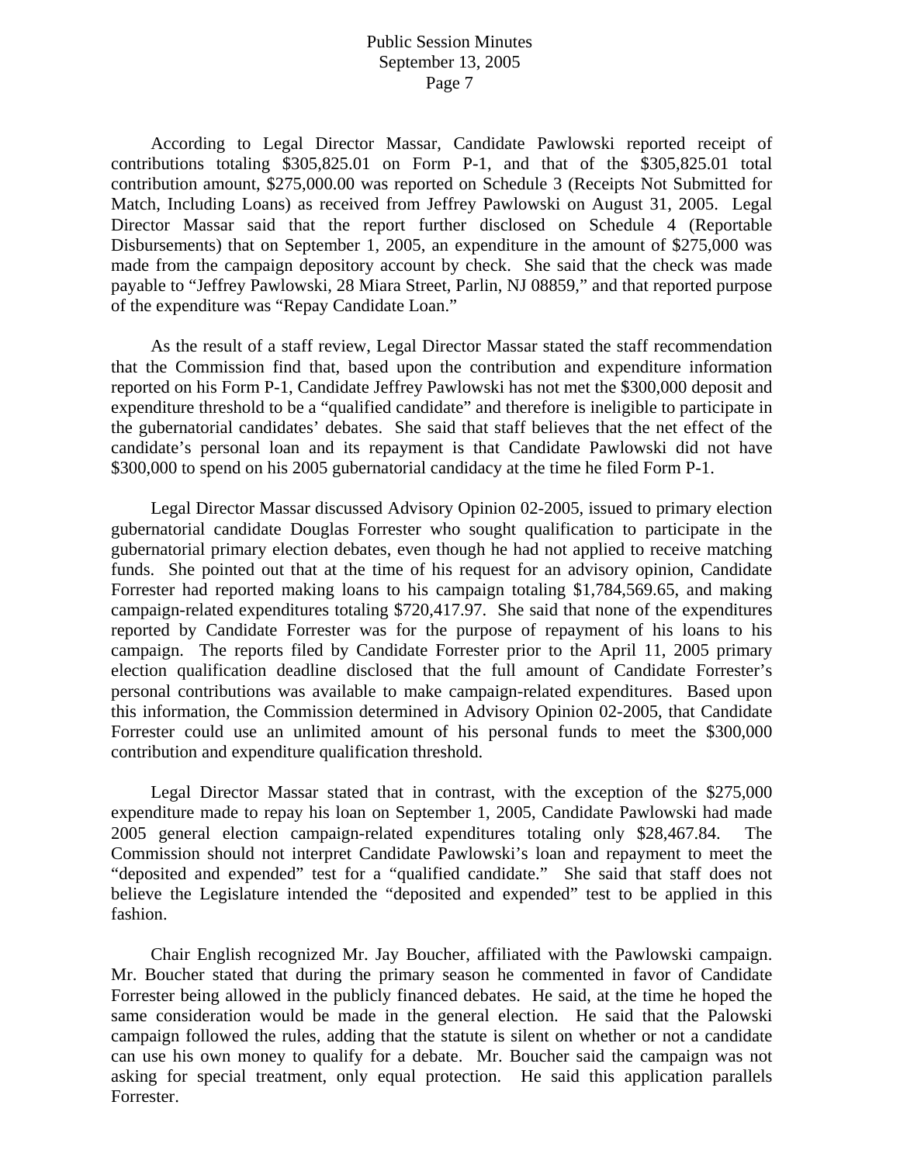According to Legal Director Massar, Candidate Pawlowski reported receipt of contributions totaling \$305,825.01 on Form P-1, and that of the \$305,825.01 total contribution amount, \$275,000.00 was reported on Schedule 3 (Receipts Not Submitted for Match, Including Loans) as received from Jeffrey Pawlowski on August 31, 2005. Legal Director Massar said that the report further disclosed on Schedule 4 (Reportable Disbursements) that on September 1, 2005, an expenditure in the amount of \$275,000 was made from the campaign depository account by check. She said that the check was made payable to "Jeffrey Pawlowski, 28 Miara Street, Parlin, NJ 08859," and that reported purpose of the expenditure was "Repay Candidate Loan."

 As the result of a staff review, Legal Director Massar stated the staff recommendation that the Commission find that, based upon the contribution and expenditure information reported on his Form P-1, Candidate Jeffrey Pawlowski has not met the \$300,000 deposit and expenditure threshold to be a "qualified candidate" and therefore is ineligible to participate in the gubernatorial candidates' debates. She said that staff believes that the net effect of the candidate's personal loan and its repayment is that Candidate Pawlowski did not have \$300,000 to spend on his 2005 gubernatorial candidacy at the time he filed Form P-1.

 Legal Director Massar discussed Advisory Opinion 02-2005, issued to primary election gubernatorial candidate Douglas Forrester who sought qualification to participate in the gubernatorial primary election debates, even though he had not applied to receive matching funds. She pointed out that at the time of his request for an advisory opinion, Candidate Forrester had reported making loans to his campaign totaling \$1,784,569.65, and making campaign-related expenditures totaling \$720,417.97. She said that none of the expenditures reported by Candidate Forrester was for the purpose of repayment of his loans to his campaign. The reports filed by Candidate Forrester prior to the April 11, 2005 primary election qualification deadline disclosed that the full amount of Candidate Forrester's personal contributions was available to make campaign-related expenditures. Based upon this information, the Commission determined in Advisory Opinion 02-2005, that Candidate Forrester could use an unlimited amount of his personal funds to meet the \$300,000 contribution and expenditure qualification threshold.

 Legal Director Massar stated that in contrast, with the exception of the \$275,000 expenditure made to repay his loan on September 1, 2005, Candidate Pawlowski had made 2005 general election campaign-related expenditures totaling only \$28,467.84. The Commission should not interpret Candidate Pawlowski's loan and repayment to meet the "deposited and expended" test for a "qualified candidate." She said that staff does not believe the Legislature intended the "deposited and expended" test to be applied in this fashion.

 Chair English recognized Mr. Jay Boucher, affiliated with the Pawlowski campaign. Mr. Boucher stated that during the primary season he commented in favor of Candidate Forrester being allowed in the publicly financed debates. He said, at the time he hoped the same consideration would be made in the general election. He said that the Palowski campaign followed the rules, adding that the statute is silent on whether or not a candidate can use his own money to qualify for a debate. Mr. Boucher said the campaign was not asking for special treatment, only equal protection. He said this application parallels Forrester.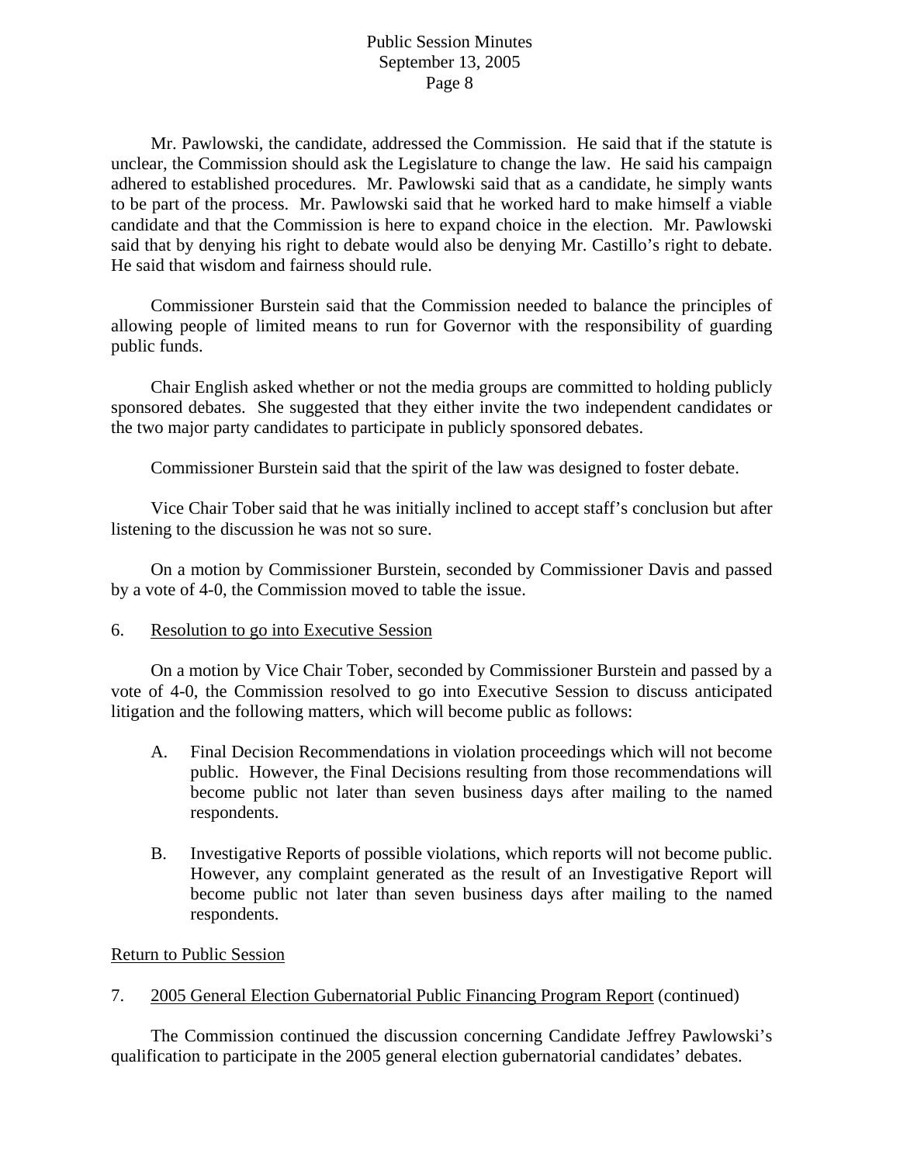Mr. Pawlowski, the candidate, addressed the Commission. He said that if the statute is unclear, the Commission should ask the Legislature to change the law. He said his campaign adhered to established procedures. Mr. Pawlowski said that as a candidate, he simply wants to be part of the process. Mr. Pawlowski said that he worked hard to make himself a viable candidate and that the Commission is here to expand choice in the election. Mr. Pawlowski said that by denying his right to debate would also be denying Mr. Castillo's right to debate. He said that wisdom and fairness should rule.

 Commissioner Burstein said that the Commission needed to balance the principles of allowing people of limited means to run for Governor with the responsibility of guarding public funds.

 Chair English asked whether or not the media groups are committed to holding publicly sponsored debates. She suggested that they either invite the two independent candidates or the two major party candidates to participate in publicly sponsored debates.

Commissioner Burstein said that the spirit of the law was designed to foster debate.

 Vice Chair Tober said that he was initially inclined to accept staff's conclusion but after listening to the discussion he was not so sure.

 On a motion by Commissioner Burstein, seconded by Commissioner Davis and passed by a vote of 4-0, the Commission moved to table the issue.

# 6. Resolution to go into Executive Session

 On a motion by Vice Chair Tober, seconded by Commissioner Burstein and passed by a vote of 4-0, the Commission resolved to go into Executive Session to discuss anticipated litigation and the following matters, which will become public as follows:

- A. Final Decision Recommendations in violation proceedings which will not become public. However, the Final Decisions resulting from those recommendations will become public not later than seven business days after mailing to the named respondents.
- B. Investigative Reports of possible violations, which reports will not become public. However, any complaint generated as the result of an Investigative Report will become public not later than seven business days after mailing to the named respondents.

# Return to Public Session

7. 2005 General Election Gubernatorial Public Financing Program Report (continued)

 The Commission continued the discussion concerning Candidate Jeffrey Pawlowski's qualification to participate in the 2005 general election gubernatorial candidates' debates.